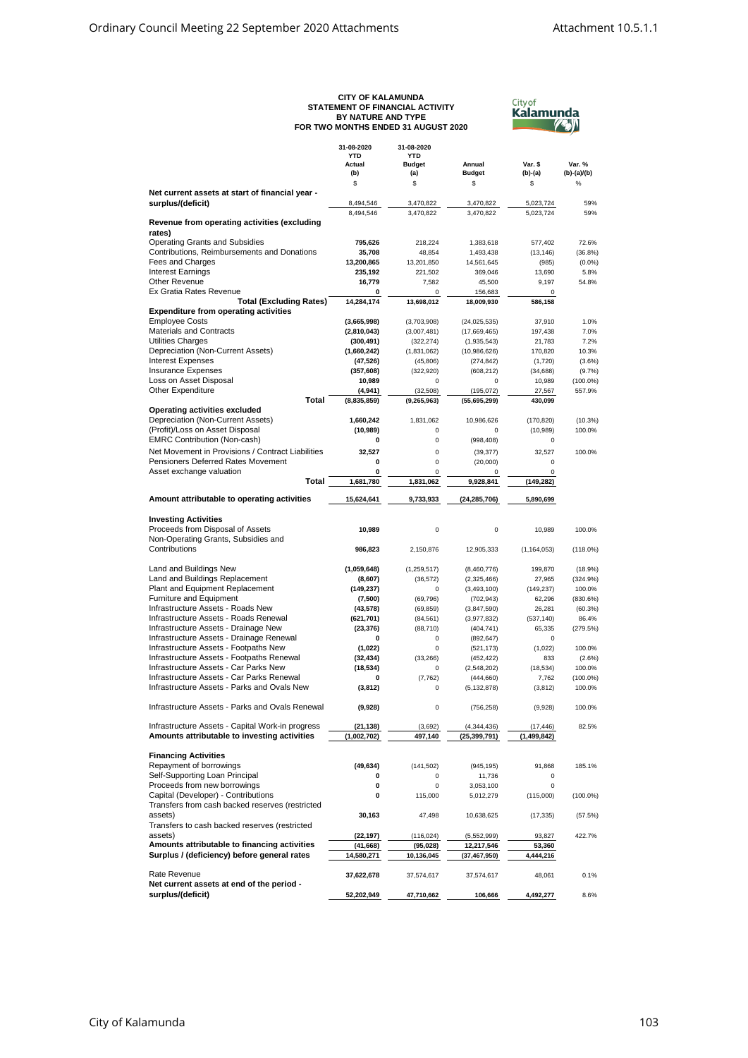## **CITY OF KALAMUNDA STATEMENT OF FINANCIAL ACTIVITY FOR TWO MONTHS ENDED 31 AUGUST 2020 BY NATURE AND TYPE**



|                                                                                             | 31-08-2020<br><b>YTD</b><br>Actual<br>(b) | 31-08-2020<br><b>YTD</b><br><b>Budget</b><br>(a) | Annual<br><b>Budget</b>      | Var. \$<br>$(b)-(a)$ | Var. %<br>$(b)-(a)/(b)$ |
|---------------------------------------------------------------------------------------------|-------------------------------------------|--------------------------------------------------|------------------------------|----------------------|-------------------------|
| Net current assets at start of financial year -                                             | \$                                        | \$                                               | \$                           | \$                   | $\%$                    |
| surplus/(deficit)                                                                           | 8,494,546                                 | 3,470,822                                        | 3,470,822                    | 5,023,724            | 59%                     |
|                                                                                             | 8,494,546                                 | 3,470,822                                        | 3,470,822                    | 5,023,724            | 59%                     |
| Revenue from operating activities (excluding<br>rates)                                      |                                           |                                                  |                              |                      |                         |
| <b>Operating Grants and Subsidies</b>                                                       | 795,626                                   | 218,224                                          | 1,383,618                    | 577,402              | 72.6%                   |
| Contributions, Reimbursements and Donations                                                 | 35,708                                    | 48,854                                           | 1,493,438                    | (13, 146)            | (36.8%)                 |
| Fees and Charges<br><b>Interest Earnings</b>                                                | 13,200,865<br>235,192                     | 13,201,850<br>221,502                            | 14,561,645<br>369,046        | (985)<br>13,690      | (0.0%<br>5.8%           |
| Other Revenue                                                                               | 16,779                                    | 7,582                                            | 45,500                       | 9.197                | 54.8%                   |
| Ex Gratia Rates Revenue                                                                     | 0                                         | 0                                                | 156.683                      | $\Omega$             |                         |
| <b>Total (Excluding Rates)</b><br><b>Expenditure from operating activities</b>              | 14,284,174                                | 13,698,012                                       | 18,009,930                   | 586,158              |                         |
| <b>Employee Costs</b>                                                                       | (3,665,998)                               | (3,703,908)                                      | (24, 025, 535)               | 37,910               | 1.0%                    |
| <b>Materials and Contracts</b>                                                              | (2,810,043)                               | (3,007,481)                                      | (17,669,465)                 | 197,438              | 7.0%                    |
| Utilities Charges                                                                           | (300, 491)                                | (322, 274)                                       | (1,935,543)                  | 21,783               | 7.2%                    |
| Depreciation (Non-Current Assets)<br><b>Interest Expenses</b>                               | (1,660,242)                               | (1,831,062)                                      | (10,986,626)                 | 170,820              | 10.3%<br>$(3.6\%)$      |
| <b>Insurance Expenses</b>                                                                   | (47, 526)<br>(357, 608)                   | (45, 806)<br>(322, 920)                          | (274, 842)<br>(608, 212)     | (1,720)<br>(34, 688) | (9.7%                   |
| Loss on Asset Disposal                                                                      | 10,989                                    | $\mathbf 0$                                      | $\mathbf 0$                  | 10,989               | $(100.0\%)$             |
| Other Expenditure                                                                           | (4,941)                                   | (32, 508)                                        | (195, 072)                   | 27,567               | 557.9%                  |
| Total<br>Operating activities excluded                                                      | (8,835,859)                               | (9, 265, 963)                                    | (55,695,299)                 | 430,099              |                         |
| Depreciation (Non-Current Assets)                                                           | 1,660,242                                 | 1,831,062                                        | 10,986,626                   | (170, 820)           | (10.3%)                 |
| (Profit)/Loss on Asset Disposal                                                             | (10, 989)                                 | $\mathbf 0$                                      | 0                            | (10, 989)            | 100.0%                  |
| <b>EMRC Contribution (Non-cash)</b>                                                         | 0                                         | $\mathbf 0$                                      | (998, 408)                   | 0                    |                         |
| Net Movement in Provisions / Contract Liabilities<br>Pensioners Deferred Rates Movement     | 32.527<br>0                               | 0<br>$\mathbf 0$                                 | (39, 377)                    | 32,527               | 100.0%                  |
| Asset exchange valuation                                                                    | 0                                         | 0                                                | (20,000)<br>0                | $\mathbf 0$<br>0     |                         |
| Total                                                                                       | 1,681,780                                 | 1,831,062                                        | 9,928,841                    | (149, 282)           |                         |
| Amount attributable to operating activities                                                 | 15,624,641                                | 9,733,933                                        | (24, 285, 706)               | 5,890,699            |                         |
| <b>Investing Activities</b>                                                                 |                                           |                                                  |                              |                      |                         |
| Proceeds from Disposal of Assets                                                            | 10,989                                    | 0                                                | 0                            | 10,989               | 100.0%                  |
| Non-Operating Grants, Subsidies and                                                         |                                           |                                                  |                              |                      |                         |
| Contributions                                                                               | 986,823                                   | 2,150,876                                        | 12,905,333                   | (1, 164, 053)        | (118.0%)                |
| Land and Buildings New                                                                      | (1,059,648)                               | (1, 259, 517)                                    | (8,460,776)                  | 199,870              | (18.9%)                 |
| Land and Buildings Replacement                                                              | (8,607)                                   | (36, 572)                                        | (2,325,466)                  | 27,965               | (324.9%)                |
| Plant and Equipment Replacement                                                             | (149, 237)                                | $\mathbf 0$                                      | (3,493,100)                  | (149, 237)           | 100.0%                  |
| <b>Furniture and Equipment</b><br>Infrastructure Assets - Roads New                         | (7,500)<br>(43, 578)                      | (69, 796)<br>(69, 859)                           | (702, 943)<br>(3,847,590)    | 62,296<br>26,281     | (830.6%)<br>(60.3%)     |
| Infrastructure Assets - Roads Renewal                                                       | (621, 701)                                | (84, 561)                                        | (3,977,832)                  | (537, 140)           | 86.4%                   |
| Infrastructure Assets - Drainage New                                                        | (23, 376)                                 | (88, 710)                                        | (404, 741)                   | 65,335               | (279.5%)                |
| Infrastructure Assets - Drainage Renewal                                                    | 0                                         | 0                                                | (892, 647)                   | 0                    |                         |
| Infrastructure Assets - Footpaths New<br>Infrastructure Assets - Footpaths Renewal          | (1,022)<br>(32, 434)                      | 0<br>(33, 266)                                   | (521, 173)<br>(452, 422)     | (1,022)<br>833       | 100.0%<br>(2.6%         |
| Infrastructure Assets - Car Parks New                                                       | (18, 534)                                 | $\mathbf 0$                                      | (2,548,202)                  | (18, 534)            | 100.0%                  |
| Infrastructure Assets - Car Parks Renewal                                                   | 0                                         | (7, 762)                                         | (444, 660)                   | 7,762                | $(100.0\%)$             |
| Infrastructure Assets - Parks and Ovals New                                                 | (3, 812)                                  | 0                                                | (5, 132, 878)                | (3,812)              | 100.0%                  |
| Infrastructure Assets - Parks and Ovals Renewal                                             | (9,928)                                   | 0                                                | (756, 258)                   | (9,928)              | 100.0%                  |
| Infrastructure Assets - Capital Work-in progress                                            | (21, 138)                                 | (3,692)                                          | (4, 344, 436)                | (17, 446)            | 82.5%                   |
| Amounts attributable to investing activities                                                | (1,002,702)                               | 497,140                                          | (25, 399, 791)               | (1, 499, 842)        |                         |
| <b>Financing Activities</b>                                                                 |                                           |                                                  |                              |                      |                         |
| Repayment of borrowings                                                                     | (49, 634)                                 | (141, 502)                                       | (945, 195)                   | 91,868               | 185.1%                  |
| Self-Supporting Loan Principal                                                              | 0                                         | $\Omega$                                         | 11,736                       | 0                    |                         |
| Proceeds from new borrowings                                                                | 0                                         | 0                                                | 3,053,100                    | 0                    |                         |
| Capital (Developer) - Contributions<br>Transfers from cash backed reserves (restricted      | 0                                         | 115,000                                          | 5,012,279                    | (115,000)            | $(100.0\%)$             |
| assets)                                                                                     | 30,163                                    | 47,498                                           | 10,638,625                   | (17, 335)            | (57.5%)                 |
| Transfers to cash backed reserves (restricted                                               |                                           |                                                  |                              |                      |                         |
| assets)                                                                                     | (22,197)                                  | (116, 024)                                       | (5,552,999)                  | 93,827               | 422.7%                  |
| Amounts attributable to financing activities<br>Surplus / (deficiency) before general rates | (41, 668)<br>14,580,271                   | (95, 028)<br>10,136,045                          | 12,217,546<br>(37, 467, 950) | 53,360<br>4,444,216  |                         |
|                                                                                             |                                           |                                                  |                              |                      |                         |
| Rate Revenue                                                                                | 37,622,678                                | 37,574,617                                       | 37,574,617                   | 48,061               | 0.1%                    |
| Net current assets at end of the period -<br>surplus/(deficit)                              | 52,202,949                                | 47,710,662                                       | 106,666                      | 4,492,277            | 8.6%                    |